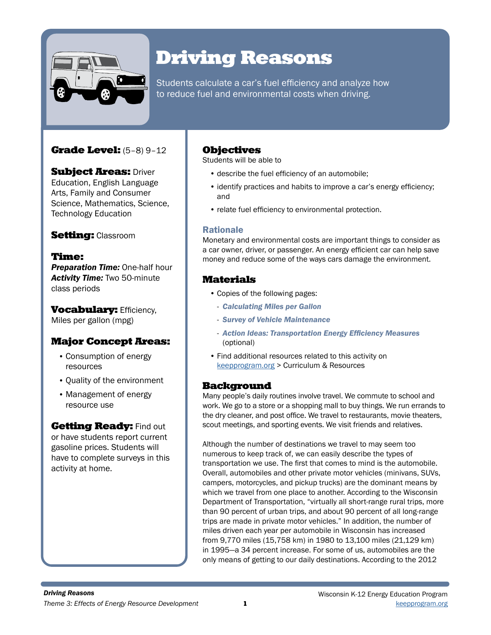

# Driving Reasons

Students calculate a car's fuel efficiency and analyze how to reduce fuel and environmental costs when driving.

# Grade Level: (5–8) 9–12

**Subject Areas: Driver** Education, English Language Arts, Family and Consumer Science, Mathematics, Science, Technology Education

## **Setting: Classroom**

## Time:

*Preparation Time:* One-half hour *Activity Time:* Two 50-minute class periods

**Vocabulary: Efficiency,** Miles per gallon (mpg)

## Major Concept Areas:

- Consumption of energy resources
- Quality of the environment
- Management of energy resource use

### **Getting Ready: Find out**

or have students report current gasoline prices. Students will have to complete surveys in this activity at home.

## **Objectives**

Students will be able to

- describe the fuel efficiency of an automobile;
- identify practices and habits to improve a car's energy efficiency; and
- relate fuel efficiency to environmental protection.

## Rationale

Monetary and environmental costs are important things to consider as a car owner, driver, or passenger. An energy efficient car can help save money and reduce some of the ways cars damage the environment.

# Materials

- Copies of the following pages:
	- *Calculating Miles per Gallon*
	- *Survey of Vehicle Maintenance*
	- *Action Ideas: Transportation Energy Efficiency Measures*  (optional)
- Find additional resources related to this activity on keepprogram.org > Curriculum & Resources

## Background

Many people's daily routines involve travel. We commute to school and work. We go to a store or a shopping mall to buy things. We run errands to the dry cleaner, and post office. We travel to restaurants, movie theaters, scout meetings, and sporting events. We visit friends and relatives.

Although the number of destinations we travel to may seem too numerous to keep track of, we can easily describe the types of transportation we use. The first that comes to mind is the automobile. Overall, automobiles and other private motor vehicles (minivans, SUVs, campers, motorcycles, and pickup trucks) are the dominant means by which we travel from one place to another. According to the Wisconsin Department of Transportation, "virtually all short-range rural trips, more than 90 percent of urban trips, and about 90 percent of all long-range trips are made in private motor vehicles." In addition, the number of miles driven each year per automobile in Wisconsin has increased from 9,770 miles (15,758 km) in 1980 to 13,100 miles (21,129 km) in 1995—a 34 percent increase. For some of us, automobiles are the only means of getting to our daily destinations. According to the 2012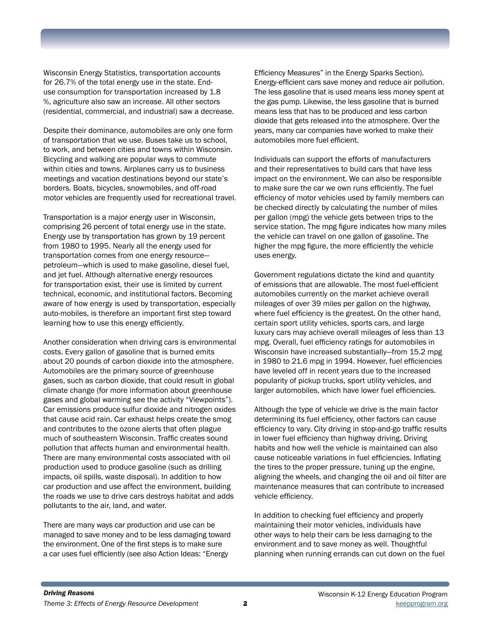Wisconsin Energy Statistics, transportation accounts for 26.7% of the total energy use in the state. Enduse consumption for transportation increased by 1.8 %, agriculture also saw an increase. All other sectors (residential, commercial, and industrial) saw a decrease.

Despite their dominance, automobiles are only one form of transportation that we use. Buses take us to school, to work, and between cities and towns within Wisconsin. Bicycling and walking are popular ways to commute within cities and towns. Airplanes carry us to business meetings and vacation destinations beyond our state's borders. Boats, bicycles, snowmobiles, and off-road motor vehicles are frequently used for recreational travel.

Transportation is a major energy user in Wisconsin, comprising 26 percent of total energy use in the state. Energy use by transportation has grown by 19 percent from 1980 to 1995. Nearly all the energy used for transportation comes from one energy resource petroleum—which is used to make gasoline, diesel fuel, and jet fuel. Although alternative energy resources for transportation exist, their use is limited by current technical, economic, and institutional factors. Becoming aware of how energy is used by transportation, especially auto-mobiles, is therefore an important first step toward learning how to use this energy efficiently.

Another consideration when driving cars is environmental costs. Every gallon of gasoline that is burned emits about 20 pounds of carbon dioxide into the atmosphere. Automobiles are the primary source of greenhouse gases, such as carbon dioxide, that could result in global climate change (for more information about greenhouse gases and global warming see the activity "Viewpoints"). Car emissions produce sulfur dioxide and nitrogen oxides that cause acid rain. Car exhaust helps create the smog and contributes to the ozone alerts that often plague much of southeastern Wisconsin. Traffic creates sound pollution that affects human and environmental health. There are many environmental costs associated with oil production used to produce gasoline (such as drilling impacts, oil spills, waste disposal). In addition to how car production and use affect the environment, building the roads we use to drive cars destroys habitat and adds pollutants to the air, land, and water.

There are many ways car production and use can be managed to save money and to be less damaging toward the environment. One of the first steps is to make sure a car uses fuel efficiently (see also Action Ideas: "Energy

Efficiency Measures" in the Energy Sparks Section). Energy-efficient cars save money and reduce air pollution. The less gasoline that is used means less money spent at the gas pump. Likewise, the less gasoline that is burned means less that has to be produced and less carbon dioxide that gets released into the atmosphere. Over the years, many car companies have worked to make their automobiles more fuel efficient.

Individuals can support the efforts of manufacturers and their representatives to build cars that have less impact on the environment. We can also be responsible to make sure the car we own runs efficiently. The fuel efficiency of motor vehicles used by family members can be checked directly by calculating the number of miles per gallon (mpg) the vehicle gets between trips to the service station. The mpg figure indicates how many miles the vehicle can travel on one gallon of gasoline. The higher the mpg figure, the more efficiently the vehicle uses energy.

Government regulations dictate the kind and quantity of emissions that are allowable. The most fuel-efficient automobiles currently on the market achieve overall mileages of over 39 miles per gallon on the highway, where fuel efficiency is the greatest. On the other hand, certain sport utility vehicles, sports cars, and large luxury cars may achieve overall mileages of less than 13 mpg. Overall, fuel efficiency ratings for automobiles in Wisconsin have increased substantially—from 15.2 mpg in 1980 to 21.6 mpg in 1994. However, fuel efficiencies have leveled off in recent years due to the increased popularity of pickup trucks, sport utility vehicles, and larger automobiles, which have lower fuel efficiencies.

Although the type of vehicle we drive is the main factor determining its fuel efficiency, other factors can cause efficiency to vary. City driving in stop-and-go traffic results in lower fuel efficiency than highway driving. Driving habits and how well the vehicle is maintained can also cause noticeable variations in fuel efficiencies. Inflating the tires to the proper pressure, tuning up the engine, aligning the wheels, and changing the oil and oil filter are maintenance measures that can contribute to increased vehicle efficiency.

In addition to checking fuel efficiency and properly maintaining their motor vehicles, individuals have other ways to help their cars be less damaging to the environment and to save money as well. Thoughtful planning when running errands can cut down on the fuel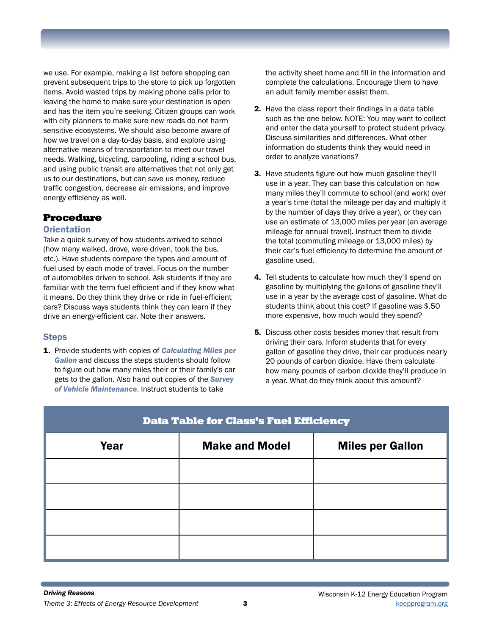we use. For example, making a list before shopping can prevent subsequent trips to the store to pick up forgotten items. Avoid wasted trips by making phone calls prior to leaving the home to make sure your destination is open and has the item you're seeking. Citizen groups can work with city planners to make sure new roads do not harm sensitive ecosystems. We should also become aware of how we travel on a day-to-day basis, and explore using alternative means of transportation to meet our travel needs. Walking, bicycling, carpooling, riding a school bus, and using public transit are alternatives that not only get us to our destinations, but can save us money, reduce traffic congestion, decrease air emissions, and improve energy efficiency as well.

## Procedure

### **Orientation**

Take a quick survey of how students arrived to school (how many walked, drove, were driven, took the bus, etc.). Have students compare the types and amount of fuel used by each mode of travel. Focus on the number of automobiles driven to school. Ask students if they are familiar with the term fuel efficient and if they know what it means. Do they think they drive or ride in fuel-efficient cars? Discuss ways students think they can learn if they drive an energy-efficient car. Note their answers.

## **Steps**

1. Provide students with copies of *Calculating Miles per Gallon* and discuss the steps students should follow to figure out how many miles their or their family's car gets to the gallon. Also hand out copies of the *Survey of Vehicle Maintenance*. Instruct students to take

the activity sheet home and fill in the information and complete the calculations. Encourage them to have an adult family member assist them.

- 2. Have the class report their findings in a data table such as the one below. NOTE: You may want to collect and enter the data yourself to protect student privacy. Discuss similarities and differences. What other information do students think they would need in order to analyze variations?
- **3.** Have students figure out how much gasoline they'll use in a year. They can base this calculation on how many miles they'll commute to school (and work) over a year's time (total the mileage per day and multiply it by the number of days they drive a year), or they can use an estimate of 13,000 miles per year (an average mileage for annual travel). Instruct them to divide the total (commuting mileage or 13,000 miles) by their car's fuel efficiency to determine the amount of gasoline used.
- 4. Tell students to calculate how much they'll spend on gasoline by multiplying the gallons of gasoline they'll use in a year by the average cost of gasoline. What do students think about this cost? If gasoline was \$.50 more expensive, how much would they spend?
- 5. Discuss other costs besides money that result from driving their cars. Inform students that for every gallon of gasoline they drive, their car produces nearly 20 pounds of carbon dioxide. Have them calculate how many pounds of carbon dioxide they'll produce in a year. What do they think about this amount?

| <b>Data Table for Class's Fuel Efficiency</b> |                       |                         |  |  |
|-----------------------------------------------|-----------------------|-------------------------|--|--|
| Year                                          | <b>Make and Model</b> | <b>Miles per Gallon</b> |  |  |
|                                               |                       |                         |  |  |
|                                               |                       |                         |  |  |
|                                               |                       |                         |  |  |
|                                               |                       |                         |  |  |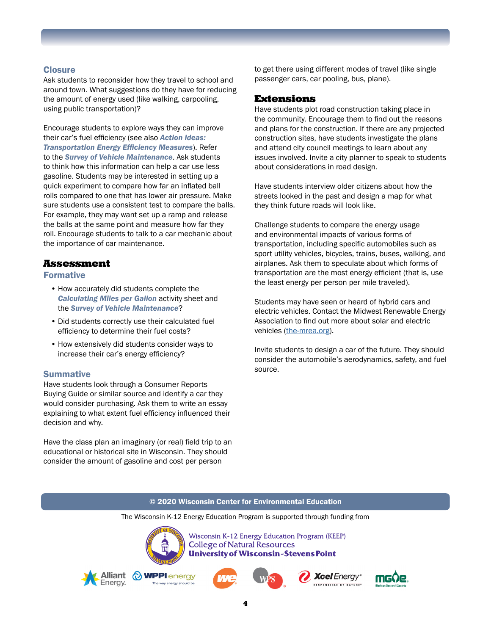#### **Closure**

Ask students to reconsider how they travel to school and around town. What suggestions do they have for reducing the amount of energy used (like walking, carpooling, using public transportation)?

Encourage students to explore ways they can improve their car's fuel efficiency (see also *Action Ideas: Transportation Energy Efficiency Measures*). Refer to the *Survey of Vehicle Maintenance*. Ask students to think how this information can help a car use less gasoline. Students may be interested in setting up a quick experiment to compare how far an inflated ball rolls compared to one that has lower air pressure. Make sure students use a consistent test to compare the balls. For example, they may want set up a ramp and release the balls at the same point and measure how far they roll. Encourage students to talk to a car mechanic about the importance of car maintenance.

#### Assessment

Formative

- How accurately did students complete the *Calculating Miles per Gallon* activity sheet and the *Survey of Vehicle Maintenance*?
- Did students correctly use their calculated fuel efficiency to determine their fuel costs?
- How extensively did students consider ways to increase their car's energy efficiency?

#### **Summative**

Have students look through a Consumer Reports Buying Guide or similar source and identify a car they would consider purchasing. Ask them to write an essay explaining to what extent fuel efficiency influenced their decision and why.

Have the class plan an imaginary (or real) field trip to an educational or historical site in Wisconsin. They should consider the amount of gasoline and cost per person

to get there using different modes of travel (like single passenger cars, car pooling, bus, plane).

#### Extensions

Have students plot road construction taking place in the community. Encourage them to find out the reasons and plans for the construction. If there are any projected construction sites, have students investigate the plans and attend city council meetings to learn about any issues involved. Invite a city planner to speak to students about considerations in road design.

Have students interview older citizens about how the streets looked in the past and design a map for what they think future roads will look like.

Challenge students to compare the energy usage and environmental impacts of various forms of transportation, including specific automobiles such as sport utility vehicles, bicycles, trains, buses, walking, and airplanes. Ask them to speculate about which forms of transportation are the most energy efficient (that is, use the least energy per person per mile traveled).

Students may have seen or heard of hybrid cars and electric vehicles. Contact the Midwest Renewable Energy Association to find out more about solar and electric vehicles ([the-mrea.org](http://the-mrea.org)).

Invite students to design a car of the future. They should consider the automobile's aerodynamics, safety, and fuel source.

#### © 2020 Wisconsin Center for Environmental Education

The Wisconsin K-12 Energy Education Program is supported through funding from



Wisconsin K-12 Energy Education Program (KEEP) **College of Natural Resources University of Wisconsin-Stevens Point** 











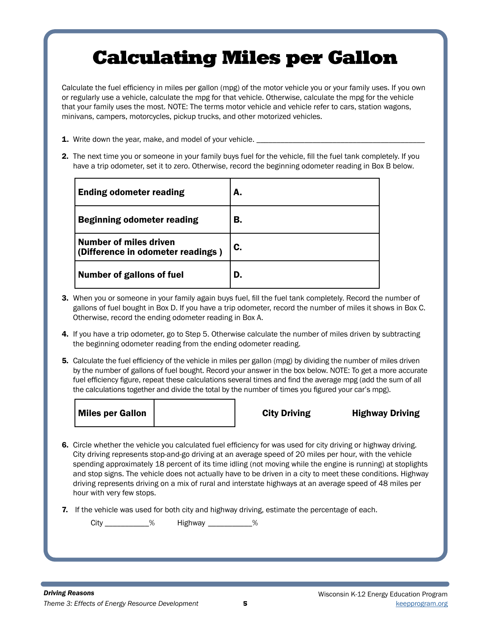# Calculating Miles per Gallon

Calculate the fuel efficiency in miles per gallon (mpg) of the motor vehicle you or your family uses. If you own or regularly use a vehicle, calculate the mpg for that vehicle. Otherwise, calculate the mpg for the vehicle that your family uses the most. NOTE: The terms motor vehicle and vehicle refer to cars, station wagons, minivans, campers, motorcycles, pickup trucks, and other motorized vehicles.

- **1.** Write down the year, make, and model of your vehicle.
- 2. The next time you or someone in your family buys fuel for the vehicle, fill the fuel tank completely. If you have a trip odometer, set it to zero. Otherwise, record the beginning odometer reading in Box B below.

| <b>Ending odometer reading</b>                                     | А. |
|--------------------------------------------------------------------|----|
| <b>Beginning odometer reading</b>                                  | В. |
| <b>Number of miles driven</b><br>(Difference in odometer readings) | C. |
| <b>Number of gallons of fuel</b>                                   | D. |

- 3. When you or someone in your family again buys fuel, fill the fuel tank completely. Record the number of gallons of fuel bought in Box D. If you have a trip odometer, record the number of miles it shows in Box C. Otherwise, record the ending odometer reading in Box A.
- 4. If you have a trip odometer, go to Step 5. Otherwise calculate the number of miles driven by subtracting the beginning odometer reading from the ending odometer reading.
- 5. Calculate the fuel efficiency of the vehicle in miles per gallon (mpg) by dividing the number of miles driven by the number of gallons of fuel bought. Record your answer in the box below. NOTE: To get a more accurate fuel efficiency figure, repeat these calculations several times and find the average mpg (add the sum of all the calculations together and divide the total by the number of times you figured your car's mpg).

| Miles per Gallon |
|------------------|
|------------------|

City Driving Highway Driving

- 6. Circle whether the vehicle you calculated fuel efficiency for was used for city driving or highway driving. City driving represents stop-and-go driving at an average speed of 20 miles per hour, with the vehicle spending approximately 18 percent of its time idling (not moving while the engine is running) at stoplights and stop signs. The vehicle does not actually have to be driven in a city to meet these conditions. Highway driving represents driving on a mix of rural and interstate highways at an average speed of 48 miles per hour with very few stops.
- 7. If the vehicle was used for both city and highway driving, estimate the percentage of each.

City \_\_\_\_\_\_\_\_\_\_\_\_% Highway \_\_\_\_\_\_\_\_\_\_\_\_%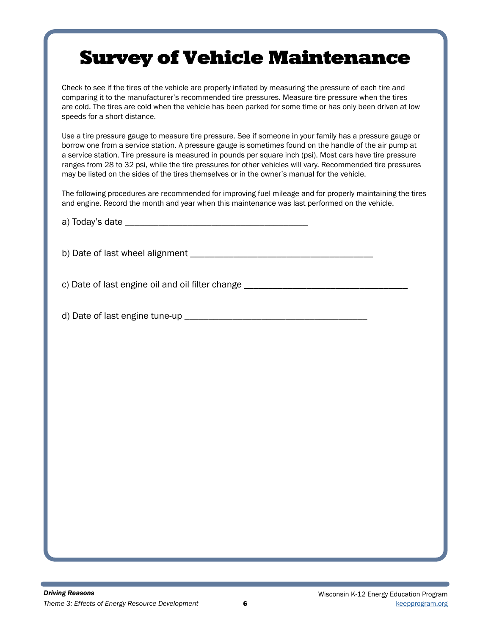# Survey of Vehicle Maintenance

Check to see if the tires of the vehicle are properly inflated by measuring the pressure of each tire and comparing it to the manufacturer's recommended tire pressures. Measure tire pressure when the tires are cold. The tires are cold when the vehicle has been parked for some time or has only been driven at low speeds for a short distance.

Use a tire pressure gauge to measure tire pressure. See if someone in your family has a pressure gauge or borrow one from a service station. A pressure gauge is sometimes found on the handle of the air pump at a service station. Tire pressure is measured in pounds per square inch (psi). Most cars have tire pressure ranges from 28 to 32 psi, while the tire pressures for other vehicles will vary. Recommended tire pressures may be listed on the sides of the tires themselves or in the owner's manual for the vehicle.

The following procedures are recommended for improving fuel mileage and for properly maintaining the tires and engine. Record the month and year when this maintenance was last performed on the vehicle.

a)  $Todav$ 's date